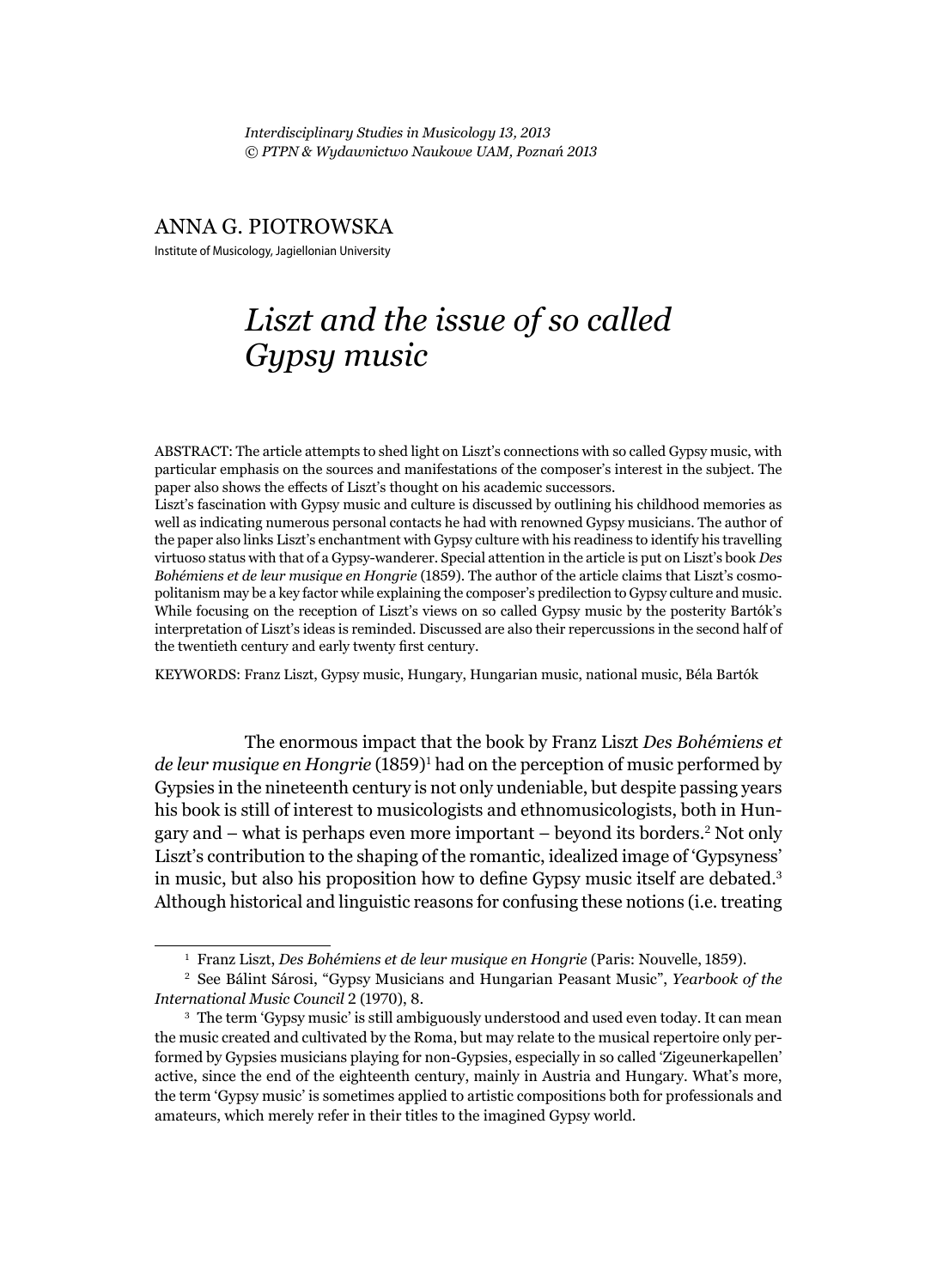*Interdisciplinary Studies in Musicology 13, 2013 © PTPN & Wydawnictwo Naukowe UAM, Poznań 2013*

### ANNA G. PIOTROWSKA

Institute of Musicology, Jagiellonian University

# *Liszt and the issue of so called Gypsy music*

ABSTRACT: The article attempts to shed light on Liszt's connections with so called Gypsy music, with particular emphasis on the sources and manifestations of the composer's interest in the subject. The paper also shows the effects of Liszt's thought on his academic successors.

Liszt's fascination with Gypsy music and culture is discussed by outlining his childhood memories as well as indicating numerous personal contacts he had with renowned Gypsy musicians. The author of the paper also links Liszt's enchantment with Gypsy culture with his readiness to identify his travelling virtuoso status with that of a Gypsy-wanderer. Special attention in the article is put on Liszt's book *Des Bohémiens et de leur musique en Hongrie* (1859). The author of the article claims that Liszt's cosmopolitanism may be a key factor while explaining the composer's predilection to Gypsy culture and music. While focusing on the reception of Liszt's views on so called Gypsy music by the posterity Bartók's interpretation of Liszt's ideas is reminded. Discussed are also their repercussions in the second half of the twentieth century and early twenty first century.

KEYWORDS: Franz Liszt, Gypsy music, Hungary, Hungarian music, national music, Béla Bartók

The enormous impact that the book by Franz Liszt *Des Bohémiens et de leur musique en Hongrie* (1859)<sup>1</sup> had on the perception of music performed by Gypsies in the nineteenth century is not only undeniable, but despite passing years his book is still of interest to musicologists and ethnomusicologists, both in Hungary and – what is perhaps even more important – beyond its borders.<sup>2</sup> Not only Liszt's contribution to the shaping of the romantic, idealized image of 'Gypsyness' in music, but also his proposition how to define Gypsy music itself are debated.<sup>3</sup> Although historical and linguistic reasons for confusing these notions (i.e. treating

<sup>1</sup> Franz Liszt, *Des Bohémiens et de leur musique en Hongrie* (Paris: Nouvelle, 1859).

<sup>2</sup> See Bálint Sárosi, "Gypsy Musicians and Hungarian Peasant Music", *Yearbook of the International Music Council* 2 (1970), 8.

<sup>3</sup> The term 'Gypsy music' is still ambiguously understood and used even today. It can mean the music created and cultivated by the Roma, but may relate to the musical repertoire only performed by Gypsies musicians playing for non-Gypsies, especially in so called 'Zigeunerkapellen' active, since the end of the eighteenth century, mainly in Austria and Hungary. What's more, the term 'Gypsy music' is sometimes applied to artistic compositions both for professionals and amateurs, which merely refer in their titles to the imagined Gypsy world.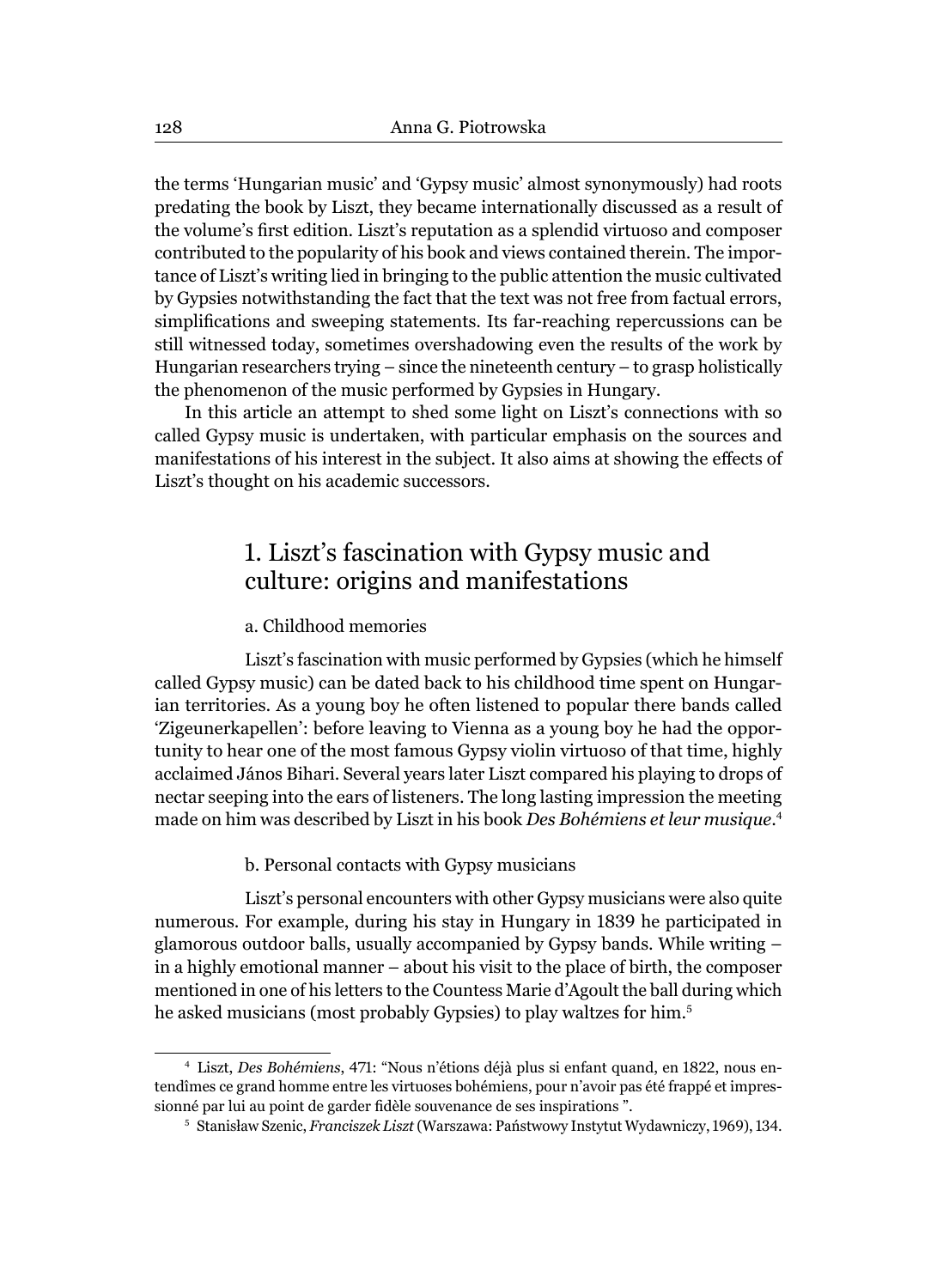the terms 'Hungarian music' and 'Gypsy music' almost synonymously) had roots predating the book by Liszt, they became internationally discussed as a result of the volume's first edition. Liszt's reputation as a splendid virtuoso and composer contributed to the popularity of his book and views contained therein. The importance of Liszt's writing lied in bringing to the public attention the music cultivated by Gypsies notwithstanding the fact that the text was not free from factual errors, simplifications and sweeping statements. Its far-reaching repercussions can be still witnessed today, sometimes overshadowing even the results of the work by Hungarian researchers trying – since the nineteenth century – to grasp holistically the phenomenon of the music performed by Gypsies in Hungary.

In this article an attempt to shed some light on Liszt's connections with so called Gypsy music is undertaken, with particular emphasis on the sources and manifestations of his interest in the subject. It also aims at showing the effects of Liszt's thought on his academic successors.

### 1. Liszt's fascination with Gypsy music and culture: origins and manifestations

### a. Childhood memories

Liszt's fascination with music performed by Gypsies (which he himself called Gypsy music) can be dated back to his childhood time spent on Hungarian territories. As a young boy he often listened to popular there bands called 'Zigeunerkapellen': before leaving to Vienna as a young boy he had the opportunity to hear one of the most famous Gypsy violin virtuoso of that time, highly acclaimed János Bihari. Several years later Liszt compared his playing to drops of nectar seeping into the ears of listeners. The long lasting impression the meeting made on him was described by Liszt in his book *Des Bohémiens et leur musique*. 4

b. Personal contacts with Gypsy musicians

Liszt's personal encounters with other Gypsy musicians were also quite numerous. For example, during his stay in Hungary in 1839 he participated in glamorous outdoor balls, usually accompanied by Gypsy bands. While writing – in a highly emotional manner – about his visit to the place of birth, the composer mentioned in one of his letters to the Countess Marie d'Agoult the ball during which he asked musicians (most probably Gypsies) to play waltzes for him.<sup>5</sup>

<sup>4</sup> Liszt, *Des Bohémiens*, 471: "Nous n'étions déjà plus si enfant quand, en 1822, nous entendîmes ce grand homme entre les virtuoses bohémiens, pour n'avoir pas été frappé et impressionné par lui au point de garder fidèle souvenance de ses inspirations".

<sup>5</sup> Stanisław Szenic, *Franciszek Liszt* (Warszawa: Państwowy Instytut Wydawniczy, 1969), 134.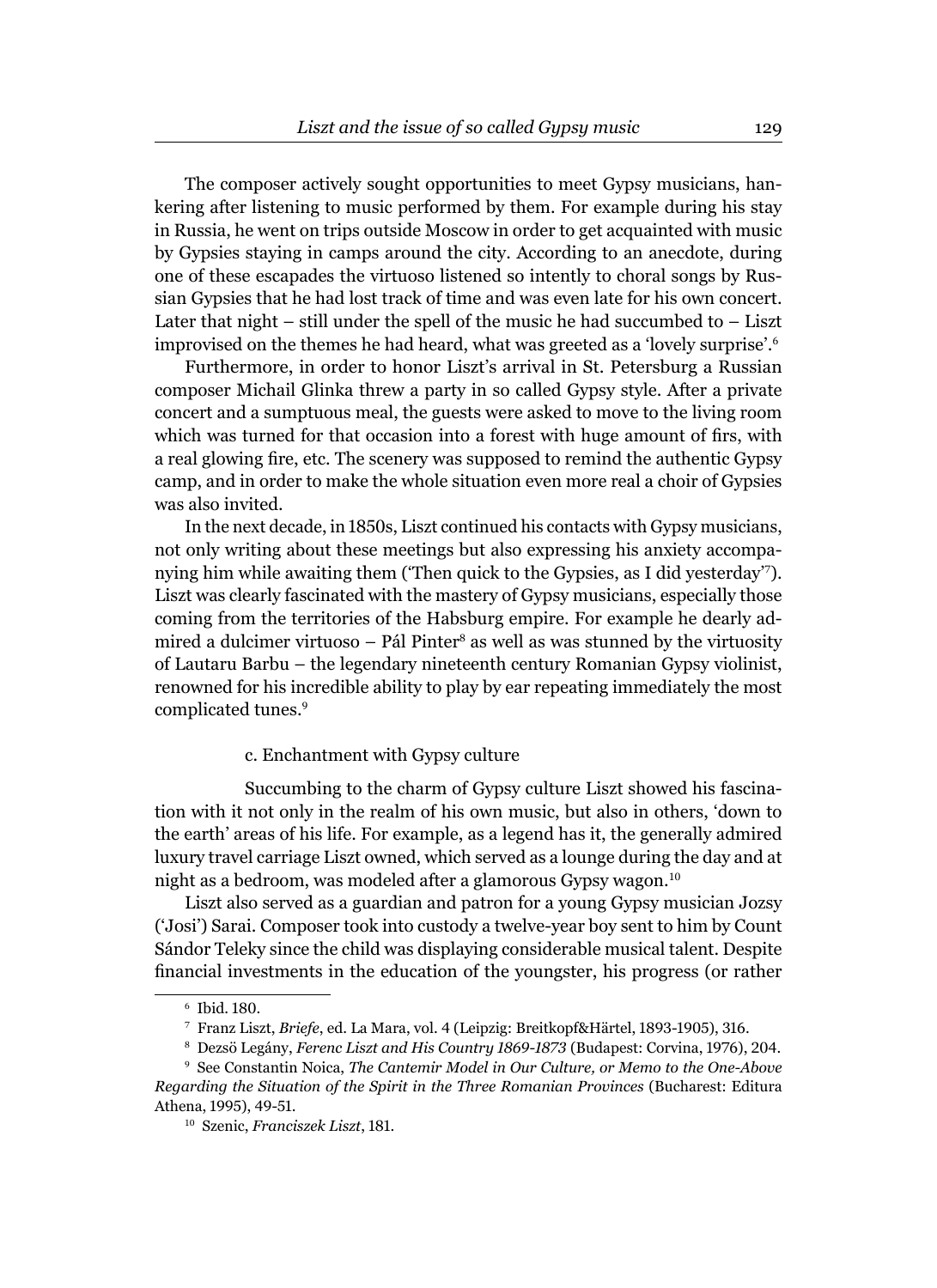The composer actively sought opportunities to meet Gypsy musicians, hankering after listening to music performed by them. For example during his stay in Russia, he went on trips outside Moscow in order to get acquainted with music by Gypsies staying in camps around the city. According to an anecdote, during one of these escapades the virtuoso listened so intently to choral songs by Russian Gypsies that he had lost track of time and was even late for his own concert. Later that night – still under the spell of the music he had succumbed to – Liszt improvised on the themes he had heard, what was greeted as a 'lovely surprise'.<sup>6</sup>

Furthermore, in order to honor Liszt's arrival in St. Petersburg a Russian composer Michail Glinka threw a party in so called Gypsy style. After a private concert and a sumptuous meal, the guests were asked to move to the living room which was turned for that occasion into a forest with huge amount of firs, with a real glowing fire, etc. The scenery was supposed to remind the authentic Gypsy camp, and in order to make the whole situation even more real a choir of Gypsies was also invited.

In the next decade, in 1850s, Liszt continued his contacts with Gypsy musicians, not only writing about these meetings but also expressing his anxiety accompanying him while awaiting them ('Then quick to the Gypsies, as I did yesterday'7). Liszt was clearly fascinated with the mastery of Gypsy musicians, especially those coming from the territories of the Habsburg empire. For example he dearly admired a dulcimer virtuoso – Pál Pinter<sup>s</sup> as well as was stunned by the virtuosity of Lautaru Barbu – the legendary nineteenth century Romanian Gypsy violinist, renowned for his incredible ability to play by ear repeating immediately the most complicated tunes.<sup>9</sup>

#### c. Enchantment with Gypsy culture

Succumbing to the charm of Gypsy culture Liszt showed his fascination with it not only in the realm of his own music, but also in others, 'down to the earth' areas of his life. For example, as a legend has it, the generally admired luxury travel carriage Liszt owned, which served as a lounge during the day and at night as a bedroom, was modeled after a glamorous Gypsy wagon.<sup>10</sup>

Liszt also served as a guardian and patron for a young Gypsy musician Jozsy ('Josi') Sarai. Composer took into custody a twelve-year boy sent to him by Count Sándor Teleky since the child was displaying considerable musical talent. Despite financial investments in the education of the youngster, his progress (or rather

<sup>6</sup> Ibid. 180.

<sup>7</sup> Franz Liszt, *Briefe*, ed. La Mara, vol. 4 (Leipzig: Breitkopf&Härtel, 1893-1905), 316.

<sup>8</sup> Dezsö Legány, *Ferenc Liszt and His Country 1869-1873* (Budapest: Corvina, 1976), 204.

<sup>9</sup> See Constantin Noica, *The Cantemir Model in Our Culture, or Memo to the One-Above Regarding the Situation of the Spirit in the Three Romanian Provinces* (Bucharest: Editura Athena, 1995), 49-51.

<sup>10</sup> Szenic, *Franciszek Liszt*, 181.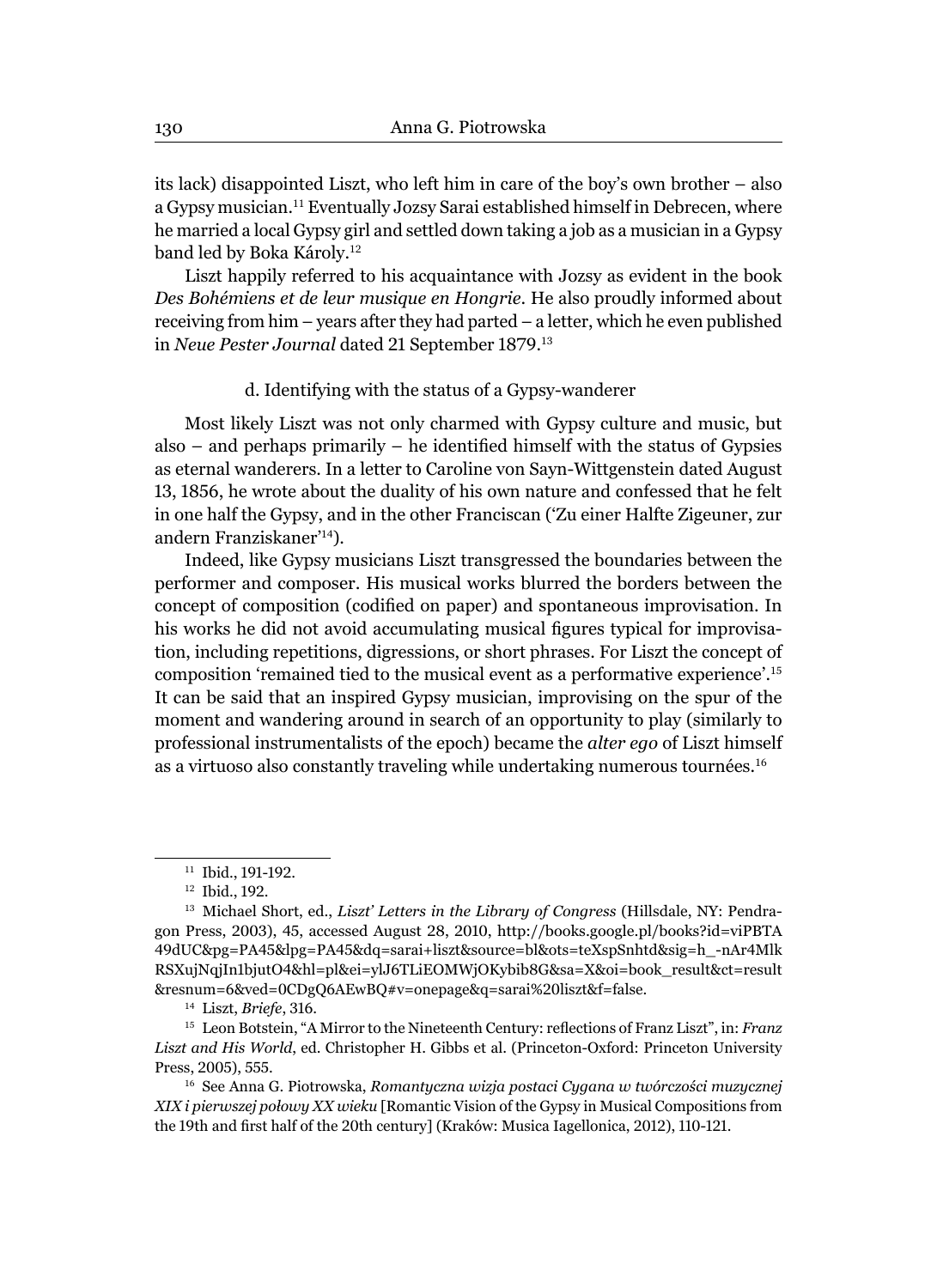its lack) disappointed Liszt, who left him in care of the boy's own brother – also a Gypsy musician.<sup>11</sup> Eventually Jozsy Sarai established himself in Debrecen, where he married a local Gypsy girl and settled down taking a job as a musician in a Gypsy band led by Boka Károly.<sup>12</sup>

Liszt happily referred to his acquaintance with Jozsy as evident in the book *Des Bohémiens et de leur musique en Hongrie*. He also proudly informed about receiving from him – years after they had parted – a letter, which he even published in *Neue Pester Journal* dated 21 September 1879. 13

### d. Identifying with the status of a Gypsy-wanderer

Most likely Liszt was not only charmed with Gypsy culture and music, but also – and perhaps primarily – he identified himself with the status of Gypsies as eternal wanderers. In a letter to Caroline von Sayn-Wittgenstein dated August 13, 1856, he wrote about the duality of his own nature and confessed that he felt in one half the Gypsy, and in the other Franciscan ('Zu einer Halfte Zigeuner, zur andern Franziskaner'14).

Indeed, like Gypsy musicians Liszt transgressed the boundaries between the performer and composer. His musical works blurred the borders between the concept of composition (codified on paper) and spontaneous improvisation. In his works he did not avoid accumulating musical figures typical for improvisation, including repetitions, digressions, or short phrases. For Liszt the concept of composition 'remained tied to the musical event as a performative experience'.<sup>15</sup> It can be said that an inspired Gypsy musician, improvising on the spur of the moment and wandering around in search of an opportunity to play (similarly to professional instrumentalists of the epoch) became the *alter ego* of Liszt himself as a virtuoso also constantly traveling while undertaking numerous tournées.<sup>16</sup>

<sup>&</sup>lt;sup>11</sup> Ibid., 191-192.

<sup>12</sup> Ibid., 192.

<sup>13</sup> Michael Short, ed., *Liszt' Letters in the Library of Congress* (Hillsdale, NY: Pendragon Press, 2003), 45, accessed August 28, 2010, http://books.google.pl/books?id=viPBTA 49dUC&pg=PA45&lpg=PA45&dq=sarai+liszt&source=bl&ots=teXspSnhtd&sig=h\_-nAr4Mlk RSXujNqjIn1bjutO4&hl=pl&ei=ylJ6TLiEOMWjOKybib8G&sa=X&oi=book\_result&ct=result &resnum=6&ved=0CDgQ6AEwBQ#v=onepage&q=sarai%20liszt&f=false.

<sup>14</sup> Liszt, *Briefe*, 316.

<sup>&</sup>lt;sup>15</sup> Leon Botstein, "A Mirror to the Nineteenth Century: reflections of Franz Liszt", in: *Franz Liszt and His World*, ed. Christopher H. Gibbs et al. (Princeton-Oxford: Princeton University Press, 2005), 555.

<sup>16</sup> See Anna G. Piotrowska, *Romantyczna wizja postaci Cygana w twórczości muzycznej XIX i pierwszej połowy XX wieku* [Romantic Vision of the Gypsy in Musical Compositions from the 19th and first half of the 20th century] (Kraków: Musica Iagellonica, 2012), 110-121.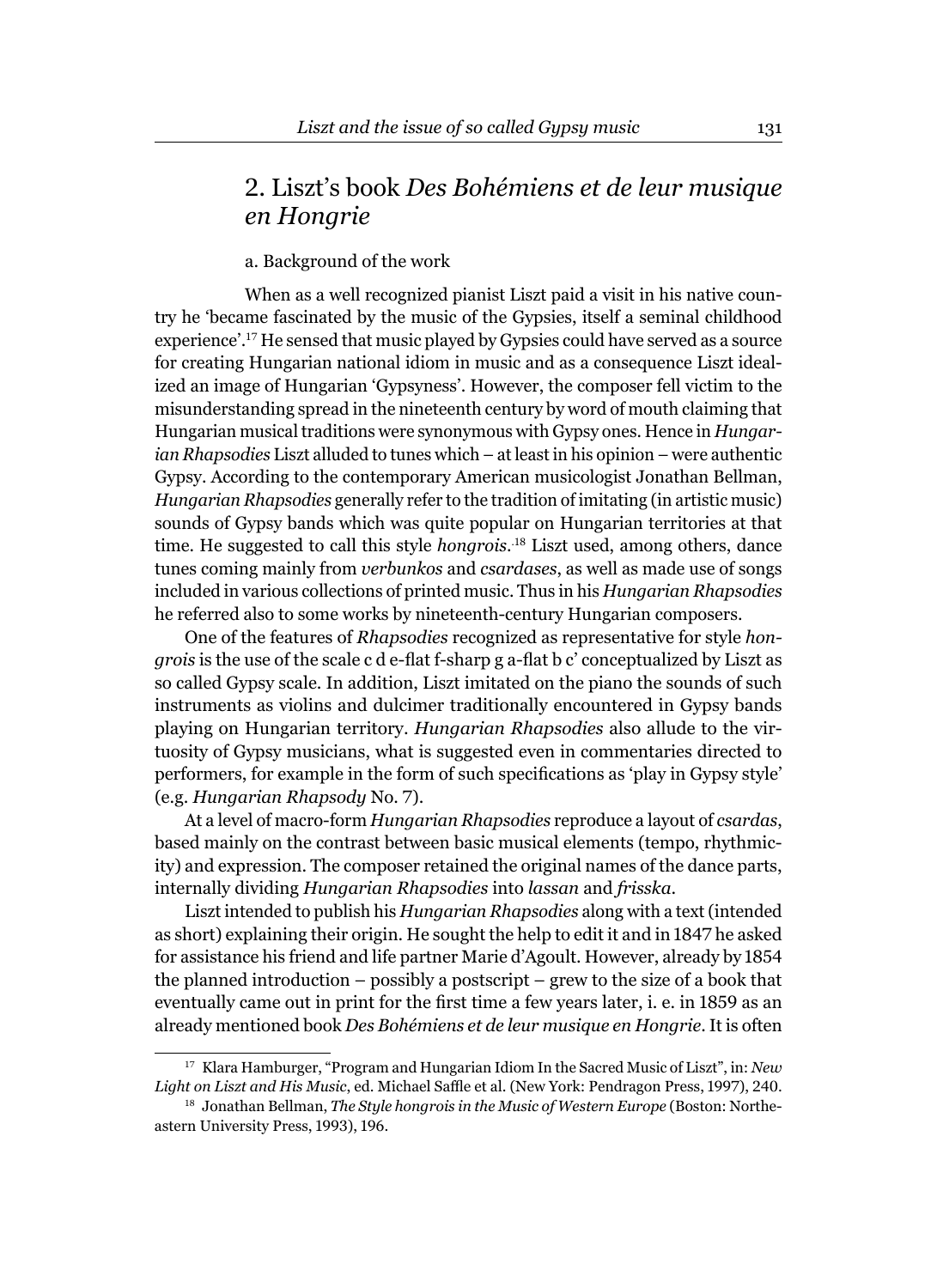### 2. Liszt's book *Des Bohémiens et de leur musique en Hongrie*

### a. Background of the work

When as a well recognized pianist Liszt paid a visit in his native country he 'became fascinated by the music of the Gypsies, itself a seminal childhood experience'.<sup>17</sup> He sensed that music played by Gypsies could have served as a source for creating Hungarian national idiom in music and as a consequence Liszt idealized an image of Hungarian 'Gypsyness'. However, the composer fell victim to the misunderstanding spread in the nineteenth century by word of mouth claiming that Hungarian musical traditions were synonymous with Gypsy ones. Hence in *Hungarian Rhapsodies* Liszt alluded to tunes which – at least in his opinion – were authentic Gypsy. According to the contemporary American musicologist Jonathan Bellman, *Hungarian Rhapsodies* generally refer to the tradition of imitating (in artistic music) sounds of Gypsy bands which was quite popular on Hungarian territories at that time. He suggested to call this style *hongrois*. .<sup>18</sup> Liszt used, among others, dance tunes coming mainly from *verbunkos* and *csardases*, as well as made use of songs included in various collections of printed music. Thus in his *Hungarian Rhapsodies* he referred also to some works by nineteenth-century Hungarian composers.

One of the features of *Rhapsodies* recognized as representative for style *hongrois* is the use of the scale c d e-flat f-sharp g a-flat b c' conceptualized by Liszt as so called Gypsy scale. In addition, Liszt imitated on the piano the sounds of such instruments as violins and dulcimer traditionally encountered in Gypsy bands playing on Hungarian territory. *Hungarian Rhapsodies* also allude to the virtuosity of Gypsy musicians, what is suggested even in commentaries directed to performers, for example in the form of such specifications as 'play in Gypsy style' (e.g. *Hungarian Rhapsody* No. 7).

At a level of macro-form *Hungarian Rhapsodies* reproduce a layout of *csardas*, based mainly on the contrast between basic musical elements (tempo, rhythmicity) and expression. The composer retained the original names of the dance parts, internally dividing *Hungarian Rhapsodies* into *lassan* and *frisska*.

Liszt intended to publish his *Hungarian Rhapsodies* along with a text (intended as short) explaining their origin. He sought the help to edit it and in 1847 he asked for assistance his friend and life partner Marie d'Agoult. However, already by 1854 the planned introduction – possibly a postscript – grew to the size of a book that eventually came out in print for the first time a few years later, i. e. in 1859 as an already mentioned book *Des Bohémiens et de leur musique en Hongrie*. It is often

<sup>17</sup> Klara Hamburger, "Program and Hungarian Idiom In the Sacred Music of Liszt", in: *New*  Light on Liszt and His Music, ed. Michael Saffle et al. (New York: Pendragon Press, 1997), 240.

<sup>&</sup>lt;sup>18</sup> Jonathan Bellman, *The Style hongrois in the Music of Western Europe* (Boston: Northeastern University Press, 1993), 196.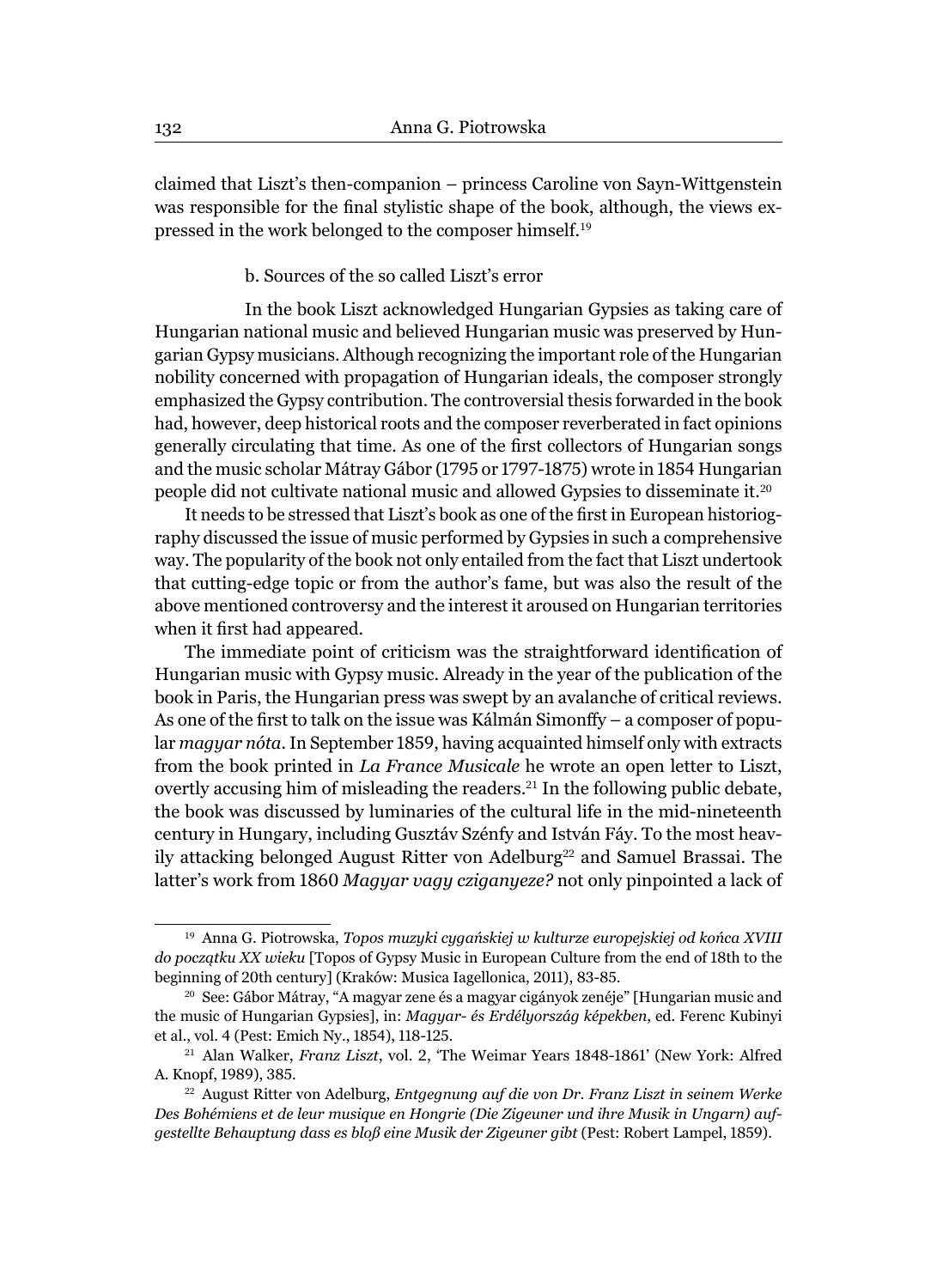claimed that Liszt's then-companion – princess Caroline von Sayn-Wittgenstein was responsible for the final stylistic shape of the book, although, the views expressed in the work belonged to the composer himself.<sup>19</sup>

### b. Sources of the so called Liszt's error

In the book Liszt acknowledged Hungarian Gypsies as taking care of Hungarian national music and believed Hungarian music was preserved by Hungarian Gypsy musicians. Although recognizing the important role of the Hungarian nobility concerned with propagation of Hungarian ideals, the composer strongly emphasized the Gypsy contribution. The controversial thesis forwarded in the book had, however, deep historical roots and the composer reverberated in fact opinions generally circulating that time. As one of the first collectors of Hungarian songs and the music scholar Mátray Gábor (1795 or 1797-1875) wrote in 1854 Hungarian people did not cultivate national music and allowed Gypsies to disseminate it.<sup>20</sup>

It needs to be stressed that Liszt's book as one of the first in European historiography discussed the issue of music performed by Gypsies in such a comprehensive way. The popularity of the book not only entailed from the fact that Liszt undertook that cutting-edge topic or from the author's fame, but was also the result of the above mentioned controversy and the interest it aroused on Hungarian territories when it first had appeared.

The immediate point of criticism was the straightforward identification of Hungarian music with Gypsy music. Already in the year of the publication of the book in Paris, the Hungarian press was swept by an avalanche of critical reviews. As one of the first to talk on the issue was Kálmán Simonffy – a composer of popular *magyar nóta*. In September 1859, having acquainted himself only with extracts from the book printed in *La France Musicale* he wrote an open letter to Liszt, overtly accusing him of misleading the readers.<sup>21</sup> In the following public debate, the book was discussed by luminaries of the cultural life in the mid-nineteenth century in Hungary, including Gusztáv Szénfy and István Fáy. To the most heavily attacking belonged August Ritter von Adelburg<sup>22</sup> and Samuel Brassai. The latter's work from 1860 *Magyar vagy cziganyeze?* not only pinpointed a lack of

<sup>19</sup> Anna G. Piotrowska, *Topos muzyki cygańskiej w kulturze europejskiej od końca XVIII do początku XX wieku* [Topos of Gypsy Music in European Culture from the end of 18th to the beginning of 20th century] (Kraków: Musica Iagellonica, 2011), 83-85.

<sup>20</sup> See: Gábor Mátray, "A magyar zene és a magyar cigányok zenéje" [Hungarian music and the music of Hungarian Gypsies], in: *Magyar- és Erdélyország képekben*, ed. Ferenc Kubinyi et al., vol. 4 (Pest: Emich Ny., 1854), 118-125.

<sup>21</sup> Alan Walker, *Franz Liszt*, vol. 2, 'The Weimar Years 1848-1861' (New York: Alfred A. Knopf, 1989), 385.

<sup>22</sup> August Ritter von Adelburg, *Entgegnung auf die von Dr. Franz Liszt in seinem Werke Des Bohémiens et de leur musique en Hongrie (Die Zigeuner und ihre Musik in Ungarn) aufgestellte Behauptung dass es bloß eine Musik der Zigeuner gibt* (Pest: Robert Lampel, 1859).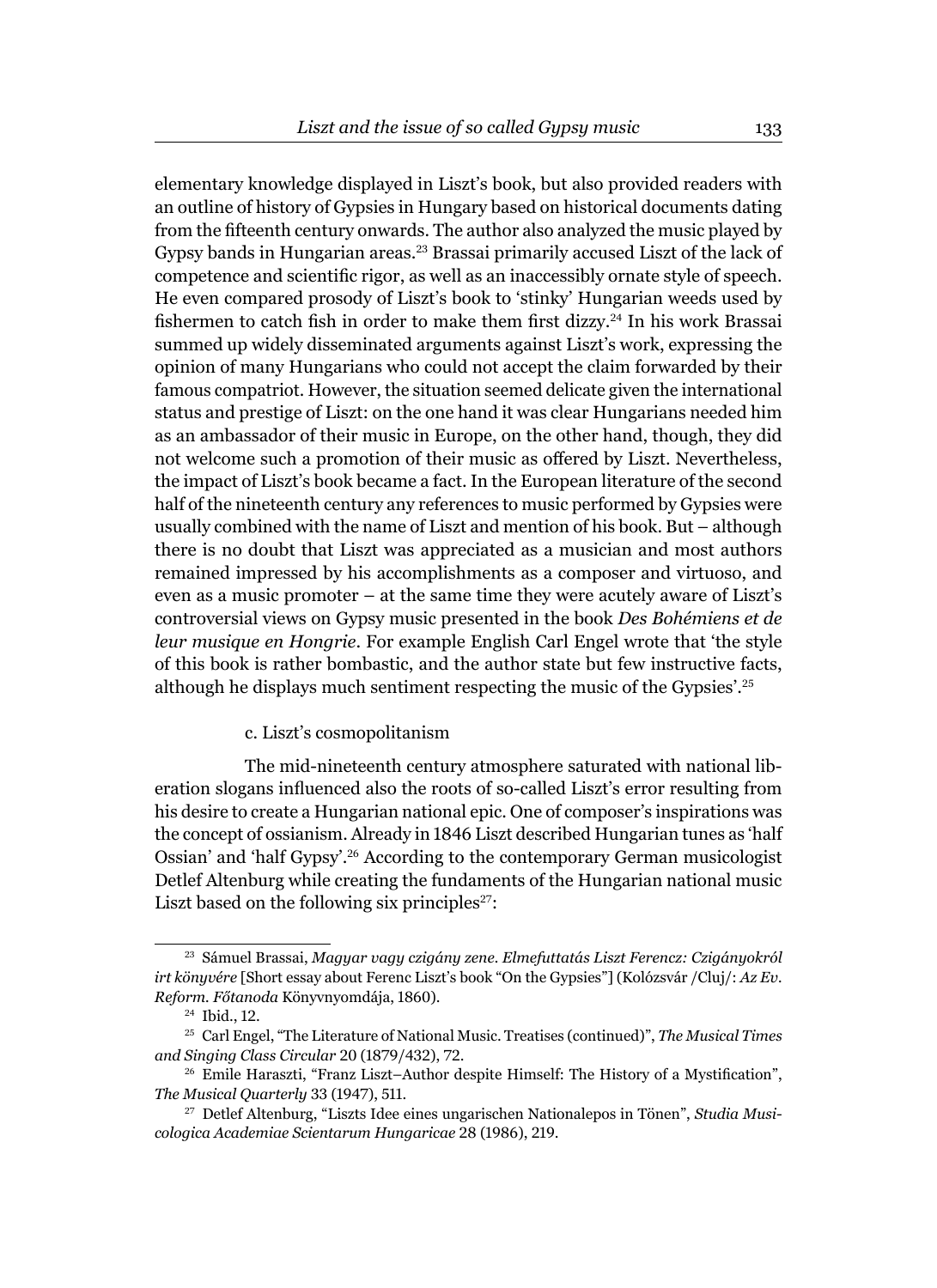elementary knowledge displayed in Liszt's book, but also provided readers with an outline of history of Gypsies in Hungary based on historical documents dating from the fifteenth century onwards. The author also analyzed the music played by Gypsy bands in Hungarian areas.<sup>23</sup> Brassai primarily accused Liszt of the lack of competence and scientific rigor, as well as an inaccessibly ornate style of speech. He even compared prosody of Liszt's book to 'stinky' Hungarian weeds used by fishermen to catch fish in order to make them first dizzy.<sup>24</sup> In his work Brassai summed up widely disseminated arguments against Liszt's work, expressing the opinion of many Hungarians who could not accept the claim forwarded by their famous compatriot. However, the situation seemed delicate given the international status and prestige of Liszt: on the one hand it was clear Hungarians needed him as an ambassador of their music in Europe, on the other hand, though, they did not welcome such a promotion of their music as offered by Liszt. Nevertheless, the impact of Liszt's book became a fact. In the European literature of the second half of the nineteenth century any references to music performed by Gypsies were usually combined with the name of Liszt and mention of his book. But – although there is no doubt that Liszt was appreciated as a musician and most authors remained impressed by his accomplishments as a composer and virtuoso, and even as a music promoter – at the same time they were acutely aware of Liszt's controversial views on Gypsy music presented in the book *Des Bohémiens et de leur musique en Hongrie*. For example English Carl Engel wrote that 'the style of this book is rather bombastic, and the author state but few instructive facts, although he displays much sentiment respecting the music of the Gypsies'.<sup>25</sup>

### c. Liszt's cosmopolitanism

The mid-nineteenth century atmosphere saturated with national liberation slogans influenced also the roots of so-called Liszt's error resulting from his desire to create a Hungarian national epic. One of composer's inspirations was the concept of ossianism. Already in 1846 Liszt described Hungarian tunes as 'half Ossian' and 'half Gypsy'.26 According to the contemporary German musicologist Detlef Altenburg while creating the fundaments of the Hungarian national music Liszt based on the following six principles<sup>27</sup>:

<sup>23</sup> Sámuel Brassai, *Magyar vagy czigány zene. Elmefuttatás Liszt Ferencz: Czigányokról irt könyvére* [Short essay about Ferenc Liszt's book "On the Gypsies"] (Kolózsvár /Cluj/: *Az Ev. Reform. Főtanoda* Könyvnyomdája, 1860).

<sup>24</sup> Ibid., 12.

<sup>25</sup> Carl Engel, "The Literature of National Music. Treatises (continued)", *The Musical Times and Singing Class Circular* 20 (1879/432), 72.

<sup>&</sup>lt;sup>26</sup> Emile Haraszti, "Franz Liszt–Author despite Himself: The History of a Mystification", *The Musical Quarterly* 33 (1947), 511.

<sup>27</sup> Detlef Altenburg, "Liszts Idee eines ungarischen Nationalepos in Tönen", *Studia Musicologica Academiae Scientarum Hungaricae* 28 (1986), 219.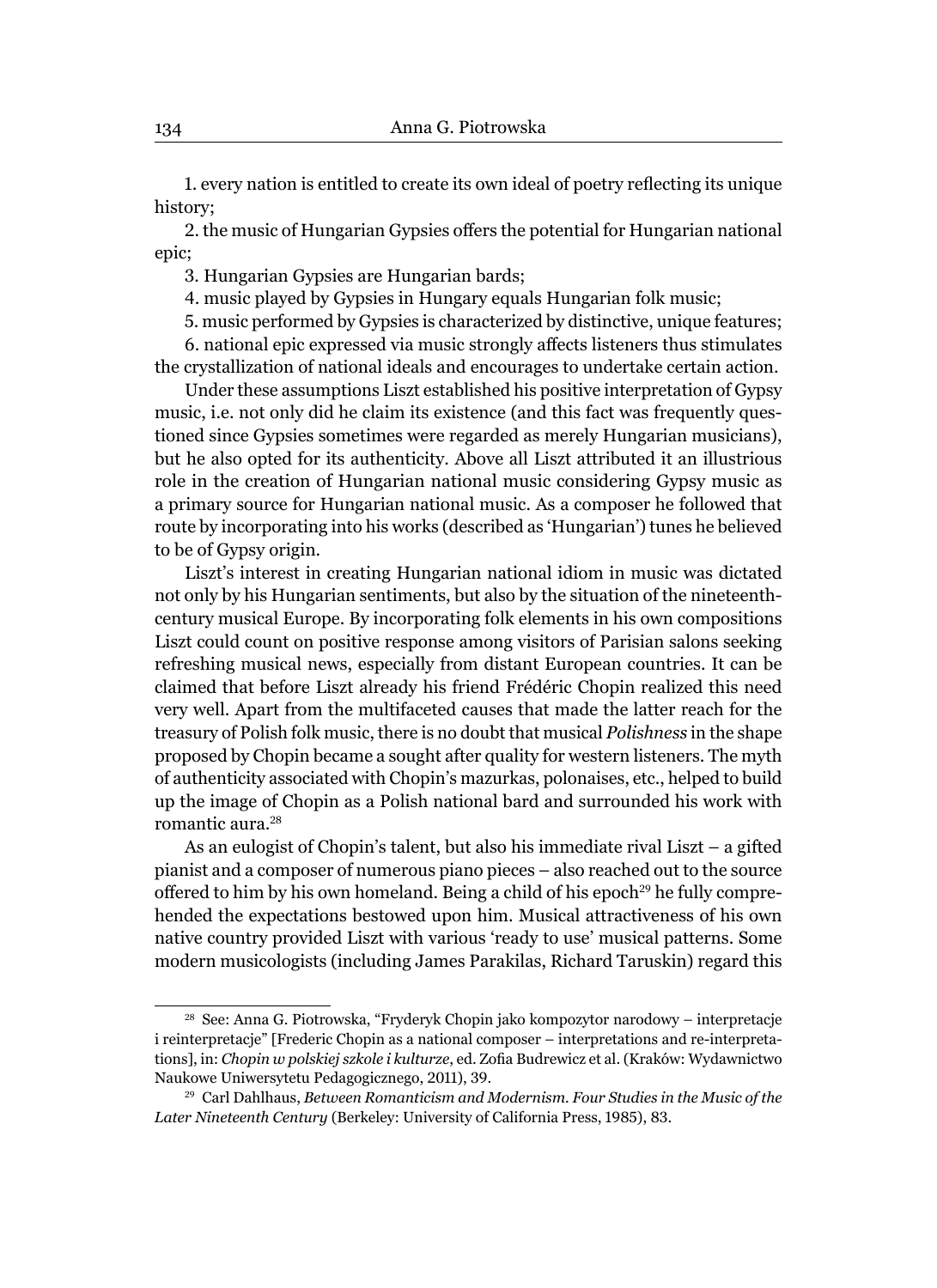1. every nation is entitled to create its own ideal of poetry reflecting its unique history;

2. the music of Hungarian Gypsies offers the potential for Hungarian national epic;

3. Hungarian Gypsies are Hungarian bards;

4. music played by Gypsies in Hungary equals Hungarian folk music;

5. music performed by Gypsies is characterized by distinctive, unique features;

6. national epic expressed via music strongly affects listeners thus stimulates the crystallization of national ideals and encourages to undertake certain action.

Under these assumptions Liszt established his positive interpretation of Gypsy music, i.e. not only did he claim its existence (and this fact was frequently questioned since Gypsies sometimes were regarded as merely Hungarian musicians), but he also opted for its authenticity. Above all Liszt attributed it an illustrious role in the creation of Hungarian national music considering Gypsy music as a primary source for Hungarian national music. As a composer he followed that route by incorporating into his works (described as 'Hungarian') tunes he believed to be of Gypsy origin.

Liszt's interest in creating Hungarian national idiom in music was dictated not only by his Hungarian sentiments, but also by the situation of the nineteenthcentury musical Europe. By incorporating folk elements in his own compositions Liszt could count on positive response among visitors of Parisian salons seeking refreshing musical news, especially from distant European countries. It can be claimed that before Liszt already his friend Frédéric Chopin realized this need very well. Apart from the multifaceted causes that made the latter reach for the treasury of Polish folk music, there is no doubt that musical *Polishness* in the shape proposed by Chopin became a sought after quality for western listeners. The myth of authenticity associated with Chopin's mazurkas, polonaises, etc., helped to build up the image of Chopin as a Polish national bard and surrounded his work with romantic aura.<sup>28</sup>

As an eulogist of Chopin's talent, but also his immediate rival Liszt – a gifted pianist and a composer of numerous piano pieces – also reached out to the source offered to him by his own homeland. Being a child of his epoch<sup>29</sup> he fully comprehended the expectations bestowed upon him. Musical attractiveness of his own native country provided Liszt with various 'ready to use' musical patterns. Some modern musicologists (including James Parakilas, Richard Taruskin) regard this

<sup>28</sup> See: Anna G. Piotrowska, "Fryderyk Chopin jako kompozytor narodowy – interpretacje i reinterpretacje" [Frederic Chopin as a national composer – interpretations and re-interpretations], in: *Chopin w polskiej szkole i kulturze*, ed. Zofia Budrewicz et al. (Kraków: Wydawnictwo Naukowe Uniwersytetu Pedagogicznego, 2011), 39.

<sup>29</sup> Carl Dahlhaus, *Between Romanticism and Modernism. Four Studies in the Music of the Later Nineteenth Century* (Berkeley: University of California Press, 1985), 83.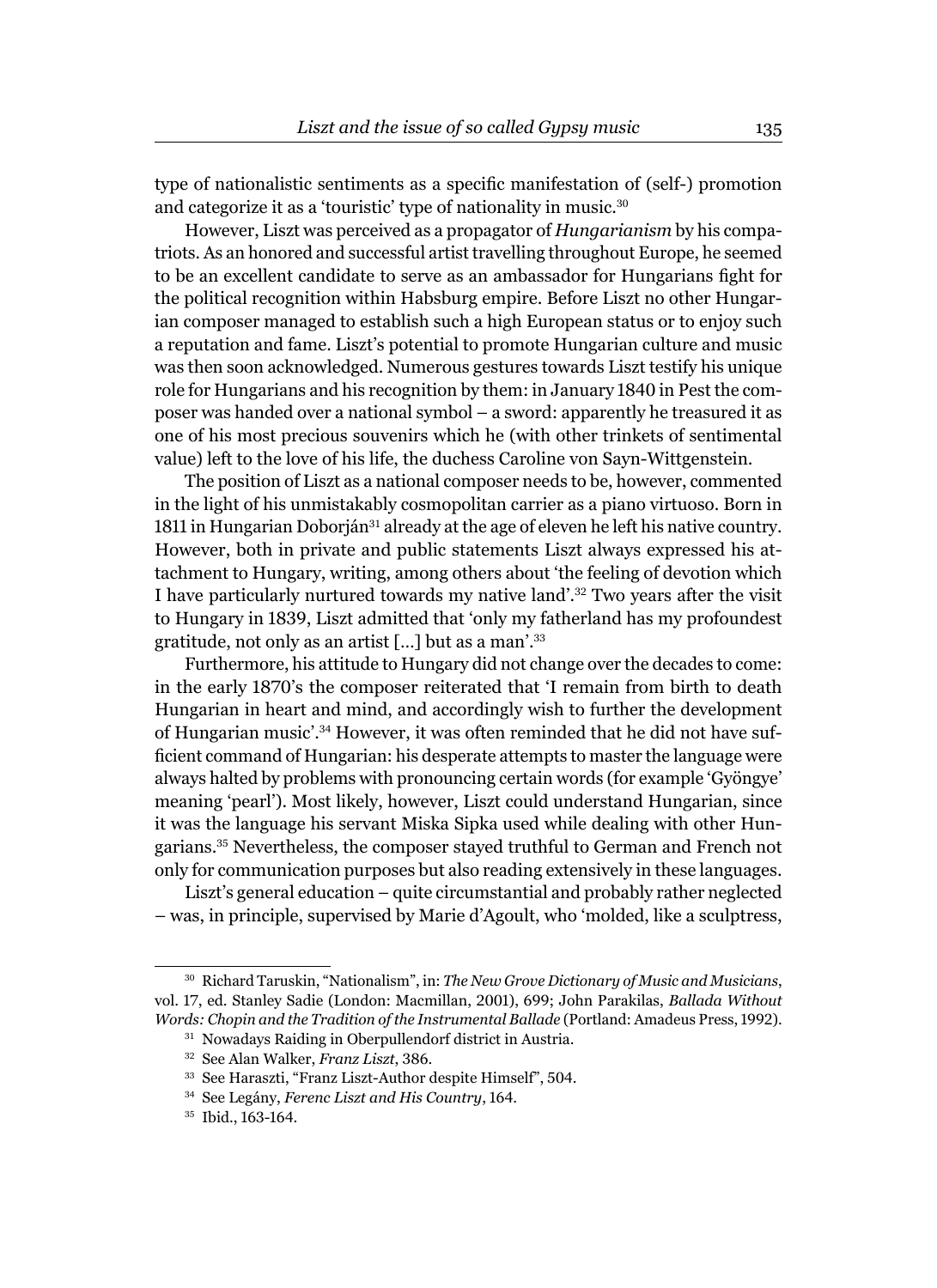type of nationalistic sentiments as a specific manifestation of (self-) promotion and categorize it as a 'touristic' type of nationality in music.<sup>30</sup>

However, Liszt was perceived as a propagator of *Hungarianism* by his compatriots. As an honored and successful artist travelling throughout Europe, he seemed to be an excellent candidate to serve as an ambassador for Hungarians fight for the political recognition within Habsburg empire. Before Liszt no other Hungarian composer managed to establish such a high European status or to enjoy such a reputation and fame. Liszt's potential to promote Hungarian culture and music was then soon acknowledged. Numerous gestures towards Liszt testify his unique role for Hungarians and his recognition by them: in January 1840 in Pest the composer was handed over a national symbol – a sword: apparently he treasured it as one of his most precious souvenirs which he (with other trinkets of sentimental value) left to the love of his life, the duchess Caroline von Sayn-Wittgenstein.

The position of Liszt as a national composer needs to be, however, commented in the light of his unmistakably cosmopolitan carrier as a piano virtuoso. Born in 1811 in Hungarian Doborján<sup>31</sup> already at the age of eleven he left his native country. However, both in private and public statements Liszt always expressed his attachment to Hungary, writing, among others about 'the feeling of devotion which I have particularly nurtured towards my native land'.32 Two years after the visit to Hungary in 1839, Liszt admitted that 'only my fatherland has my profoundest gratitude, not only as an artist […] but as a man'.<sup>33</sup>

Furthermore, his attitude to Hungary did not change over the decades to come: in the early 1870's the composer reiterated that 'I remain from birth to death Hungarian in heart and mind, and accordingly wish to further the development of Hungarian music'.34 However, it was often reminded that he did not have sufficient command of Hungarian: his desperate attempts to master the language were always halted by problems with pronouncing certain words (for example 'Gyöngye' meaning 'pearl'). Most likely, however, Liszt could understand Hungarian, since it was the language his servant Miska Sipka used while dealing with other Hungarians.35 Nevertheless, the composer stayed truthful to German and French not only for communication purposes but also reading extensively in these languages.

Liszt's general education – quite circumstantial and probably rather neglected – was, in principle, supervised by Marie d'Agoult, who 'molded, like a sculptress,

<sup>30</sup> Richard Taruskin, "Nationalism", in: *The New Grove Dictionary of Music and Musicians*, vol. 17, ed. Stanley Sadie (London: Macmillan, 2001), 699; John Parakilas, *Ballada Without Words: Chopin and the Tradition of the Instrumental Ballade* (Portland: Amadeus Press, 1992).

<sup>31</sup> Nowadays Raiding in Oberpullendorf district in Austria.

<sup>32</sup> See Alan Walker, *Franz Liszt*, 386.

<sup>33</sup> See Haraszti, "Franz Liszt-Author despite Himself", 504.

<sup>34</sup> See Legány, *Ferenc Liszt and His Country*, 164.

<sup>&</sup>lt;sup>35</sup> Ibid., 163-164.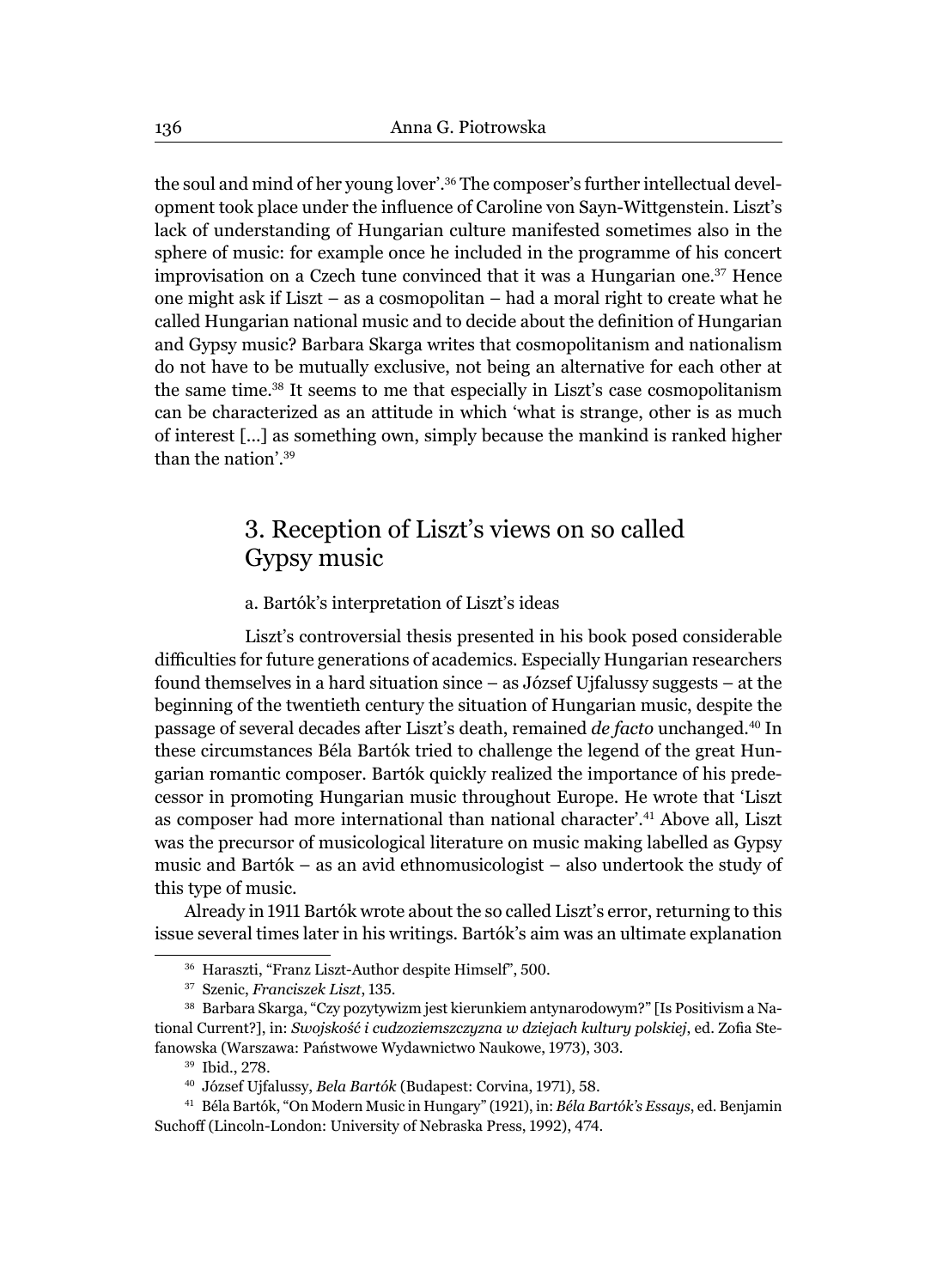the soul and mind of her young lover'.<sup>36</sup> The composer's further intellectual development took place under the influence of Caroline von Sayn-Wittgenstein. Liszt's lack of understanding of Hungarian culture manifested sometimes also in the sphere of music: for example once he included in the programme of his concert improvisation on a Czech tune convinced that it was a Hungarian one.37 Hence one might ask if Liszt – as a cosmopolitan – had a moral right to create what he called Hungarian national music and to decide about the definition of Hungarian and Gypsy music? Barbara Skarga writes that cosmopolitanism and nationalism do not have to be mutually exclusive, not being an alternative for each other at the same time.38 It seems to me that especially in Liszt's case cosmopolitanism can be characterized as an attitude in which 'what is strange, other is as much of interest [...] as something own, simply because the mankind is ranked higher than the nation'.<sup>39</sup>

## 3. Reception of Liszt's views on so called Gypsy music

### a. Bartók's interpretation of Liszt's ideas

Liszt's controversial thesis presented in his book posed considerable difficulties for future generations of academics. Especially Hungarian researchers found themselves in a hard situation since – as József Ujfalussy suggests – at the beginning of the twentieth century the situation of Hungarian music, despite the passage of several decades after Liszt's death, remained *de facto* unchanged.40 In these circumstances Béla Bartók tried to challenge the legend of the great Hungarian romantic composer. Bartók quickly realized the importance of his predecessor in promoting Hungarian music throughout Europe. He wrote that 'Liszt as composer had more international than national character'.41 Above all, Liszt was the precursor of musicological literature on music making labelled as Gypsy music and Bartók – as an avid ethnomusicologist – also undertook the study of this type of music.

Already in 1911 Bartók wrote about the so called Liszt's error, returning to this issue several times later in his writings. Bartók's aim was an ultimate explanation

<sup>36</sup> Haraszti, "Franz Liszt-Author despite Himself", 500.

<sup>37</sup> Szenic, *Franciszek Liszt*, 135.

<sup>38</sup> Barbara Skarga, "Czy pozytywizm jest kierunkiem antynarodowym?" [Is Positivism a National Current?], in: *Swojskość i cudzoziemszczyzna w dziejach kultury polskiej*, ed. Zofia Stefanowska (Warszawa: Państwowe Wydawnictwo Naukowe, 1973), 303.

<sup>39</sup> Ibid., 278.

<sup>40</sup> József Ujfalussy, *Bela Bartók* (Budapest: Corvina, 1971), 58.

<sup>41</sup> Béla Bartók, "On Modern Music in Hungary" (1921), in: *Béla Bartók's Essays*, ed. Benjamin Suchoff (Lincoln-London: University of Nebraska Press, 1992), 474.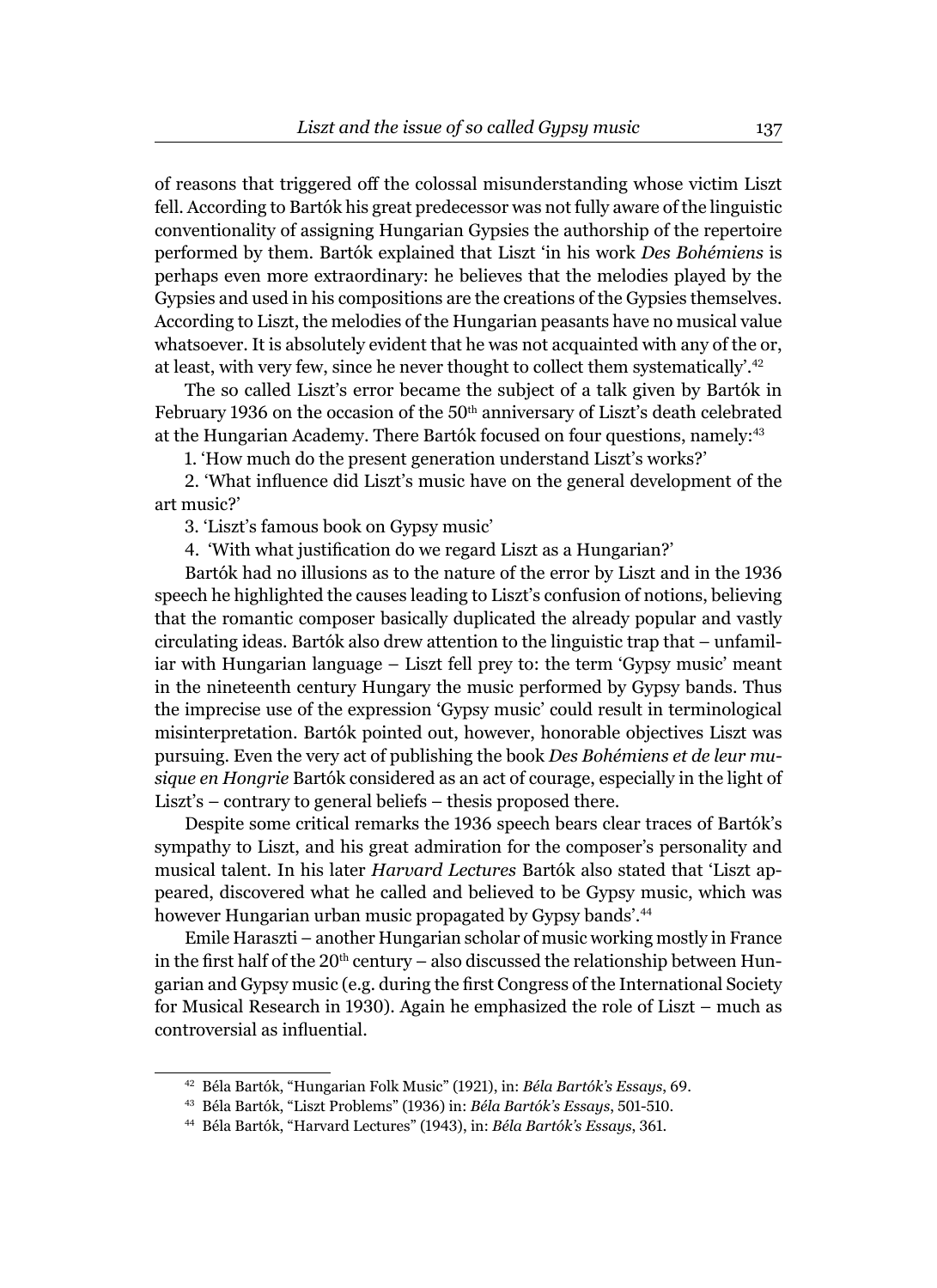of reasons that triggered off the colossal misunderstanding whose victim Liszt fell. According to Bartók his great predecessor was not fully aware of the linguistic conventionality of assigning Hungarian Gypsies the authorship of the repertoire performed by them. Bartók explained that Liszt 'in his work *Des Bohémiens* is perhaps even more extraordinary: he believes that the melodies played by the Gypsies and used in his compositions are the creations of the Gypsies themselves. According to Liszt, the melodies of the Hungarian peasants have no musical value whatsoever. It is absolutely evident that he was not acquainted with any of the or, at least, with very few, since he never thought to collect them systematically'.<sup>42</sup>

The so called Liszt's error became the subject of a talk given by Bartók in February 1936 on the occasion of the 50<sup>th</sup> anniversary of Liszt's death celebrated at the Hungarian Academy. There Bartók focused on four questions, namely:<sup>43</sup>

1. 'How much do the present generation understand Liszt's works?'

2. 'What influence did Liszt's music have on the general development of the art music?'

3. 'Liszt's famous book on Gypsy music'

4. 'With what justification do we regard Liszt as a Hungarian?'

Bartók had no illusions as to the nature of the error by Liszt and in the 1936 speech he highlighted the causes leading to Liszt's confusion of notions, believing that the romantic composer basically duplicated the already popular and vastly circulating ideas. Bartók also drew attention to the linguistic trap that – unfamiliar with Hungarian language – Liszt fell prey to: the term 'Gypsy music' meant in the nineteenth century Hungary the music performed by Gypsy bands. Thus the imprecise use of the expression 'Gypsy music' could result in terminological misinterpretation. Bartók pointed out, however, honorable objectives Liszt was pursuing. Even the very act of publishing the book *Des Bohémiens et de leur musique en Hongrie* Bartók considered as an act of courage, especially in the light of Liszt's – contrary to general beliefs – thesis proposed there.

Despite some critical remarks the 1936 speech bears clear traces of Bartók's sympathy to Liszt, and his great admiration for the composer's personality and musical talent. In his later *Harvard Lectures* Bartók also stated that 'Liszt appeared, discovered what he called and believed to be Gypsy music, which was however Hungarian urban music propagated by Gypsy bands'.<sup>44</sup>

Emile Haraszti – another Hungarian scholar of music working mostly in France in the first half of the  $20<sup>th</sup>$  century – also discussed the relationship between Hungarian and Gypsy music (e.g. during the first Congress of the International Society for Musical Research in 1930). Again he emphasized the role of Liszt – much as controversial as influential.

<sup>42</sup> Béla Bartók, "Hungarian Folk Music" (1921), in: *Béla Bartók's Essays*, 69.

<sup>43</sup> Béla Bartók, "Liszt Problems" (1936) in: *Béla Bartók's Essays*, 501-510.

<sup>44</sup> Béla Bartók, "Harvard Lectures" (1943), in: *Béla Bartók's Essays*, 361.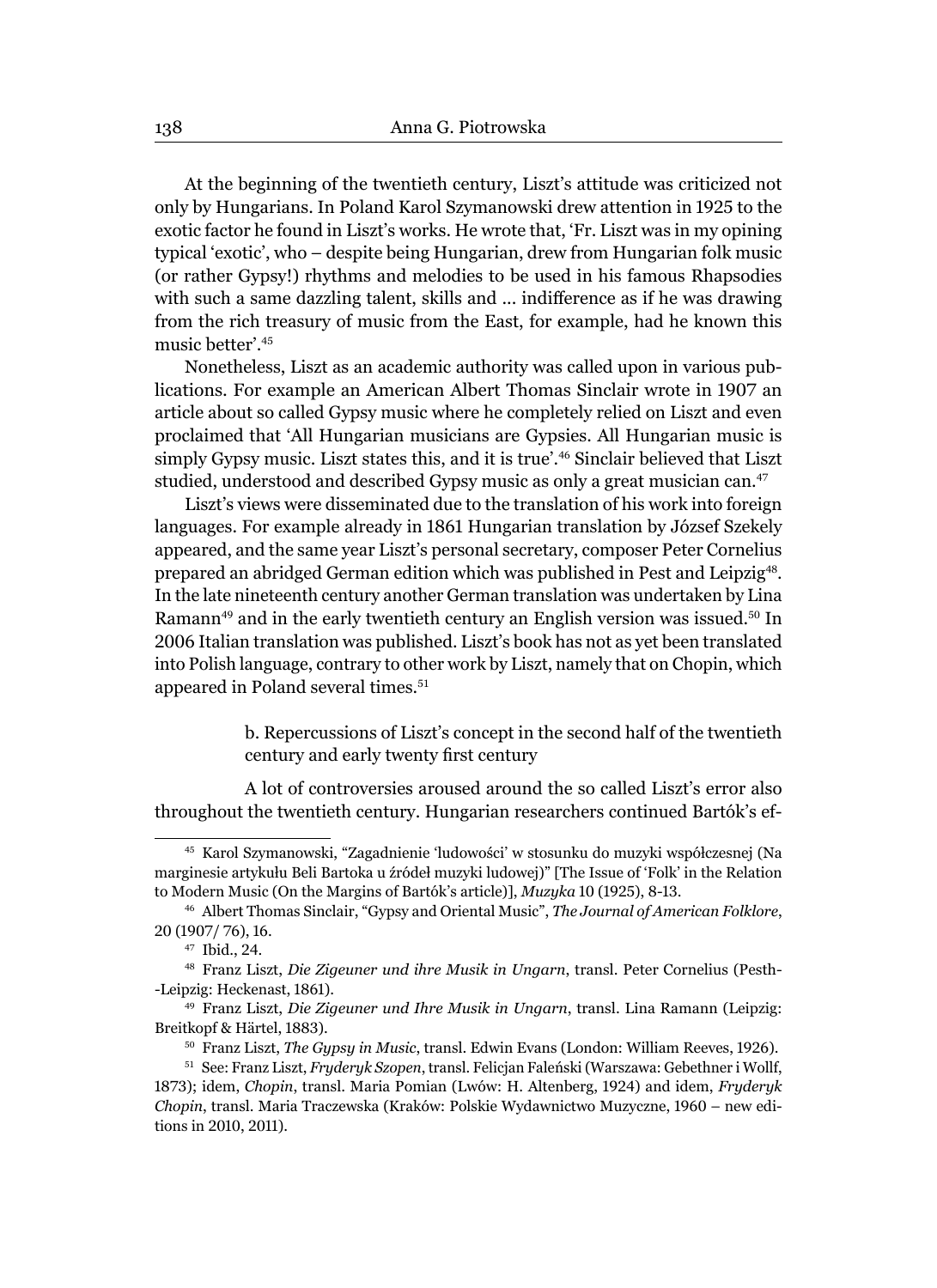At the beginning of the twentieth century, Liszt's attitude was criticized not only by Hungarians. In Poland Karol Szymanowski drew attention in 1925 to the exotic factor he found in Liszt's works. He wrote that, 'Fr. Liszt was in my opining typical 'exotic', who – despite being Hungarian, drew from Hungarian folk music (or rather Gypsy!) rhythms and melodies to be used in his famous Rhapsodies with such a same dazzling talent, skills and ... indifference as if he was drawing from the rich treasury of music from the East, for example, had he known this music better'.<sup>45</sup>

Nonetheless, Liszt as an academic authority was called upon in various publications. For example an American Albert Thomas Sinclair wrote in 1907 an article about so called Gypsy music where he completely relied on Liszt and even proclaimed that 'All Hungarian musicians are Gypsies. All Hungarian music is simply Gypsy music. Liszt states this, and it is true'.46 Sinclair believed that Liszt studied, understood and described Gypsy music as only a great musician can.<sup>47</sup>

Liszt's views were disseminated due to the translation of his work into foreign languages. For example already in 1861 Hungarian translation by József Szekely appeared, and the same year Liszt's personal secretary, composer Peter Cornelius prepared an abridged German edition which was published in Pest and Leipzig<sup>48</sup>. In the late nineteenth century another German translation was undertaken by Lina Ramann<sup>49</sup> and in the early twentieth century an English version was issued.<sup>50</sup> In 2006 Italian translation was published. Liszt's book has not as yet been translated into Polish language, contrary to other work by Liszt, namely that on Chopin, which appeared in Poland several times.<sup>51</sup>

> b. Repercussions of Liszt's concept in the second half of the twentieth century and early twenty first century

A lot of controversies aroused around the so called Liszt's error also throughout the twentieth century. Hungarian researchers continued Bartók's ef-

<sup>45</sup> Karol Szymanowski, "Zagadnienie 'ludowości' w stosunku do muzyki współczesnej (Na marginesie artykułu Beli Bartoka u źródeł muzyki ludowej)" [The Issue of 'Folk' in the Relation to Modern Music (On the Margins of Bartók's article)], *Muzyka* 10 (1925), 8-13.

<sup>46</sup> Albert Thomas Sinclair, "Gypsy and Oriental Music", *The Journal of American Folklore*, 20 (1907/ 76), 16.

<sup>47</sup> Ibid., 24.

<sup>48</sup> Franz Liszt, *Die Zigeuner und ihre Musik in Ungarn*, transl. Peter Cornelius (Pesth- -Leipzig: Heckenast, 1861).

<sup>49</sup> Franz Liszt, *Die Zigeuner und Ihre Musik in Ungarn*, transl. Lina Ramann (Leipzig: Breitkopf & Härtel, 1883).

<sup>50</sup> Franz Liszt, *The Gypsy in Music*, transl. Edwin Evans (London: William Reeves, 1926).

<sup>51</sup> See: Franz Liszt, *Fryderyk Szopen*, transl. Felicjan Faleński (Warszawa: Gebethner i Wollf, 1873); idem, *Chopin*, transl. Maria Pomian (Lwów: H. Altenberg, 1924) and idem, *Fryderyk Chopin*, transl. Maria Traczewska (Kraków: Polskie Wydawnictwo Muzyczne, 1960 – new editions in 2010, 2011).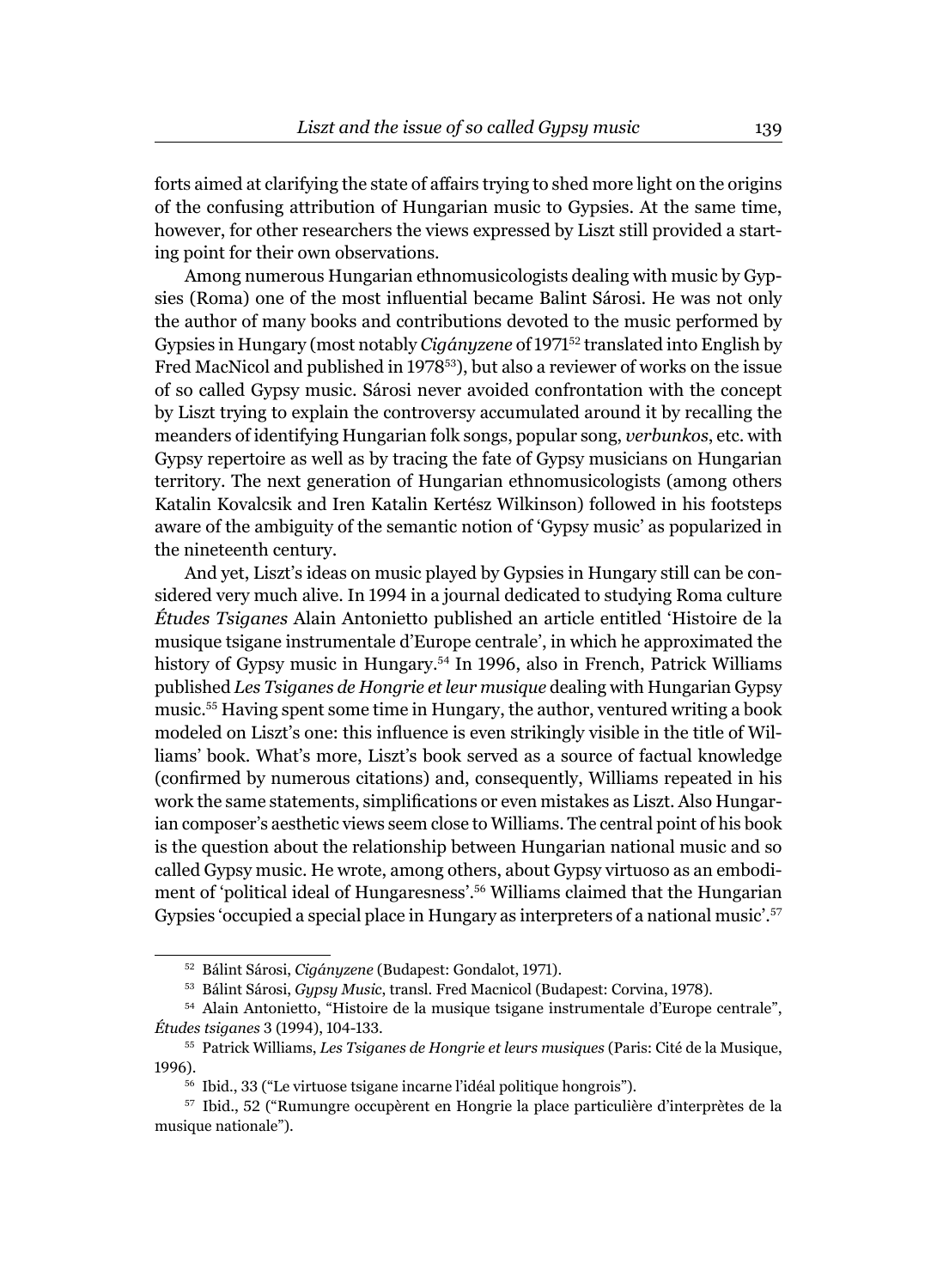forts aimed at clarifying the state of affairs trying to shed more light on the origins of the confusing attribution of Hungarian music to Gypsies. At the same time, however, for other researchers the views expressed by Liszt still provided a starting point for their own observations.

Among numerous Hungarian ethnomusicologists dealing with music by Gypsies (Roma) one of the most influential became Balint Sárosi. He was not only the author of many books and contributions devoted to the music performed by Gypsies in Hungary (most notably *Cigányzene* of 197152 translated into English by Fred MacNicol and published in 1978<sup>53</sup>), but also a reviewer of works on the issue of so called Gypsy music. Sárosi never avoided confrontation with the concept by Liszt trying to explain the controversy accumulated around it by recalling the meanders of identifying Hungarian folk songs, popular song, *verbunkos*, etc. with Gypsy repertoire as well as by tracing the fate of Gypsy musicians on Hungarian territory. The next generation of Hungarian ethnomusicologists (among others Katalin Kovalcsik and Iren Katalin Kertész Wilkinson) followed in his footsteps aware of the ambiguity of the semantic notion of 'Gypsy music' as popularized in the nineteenth century.

And yet, Liszt's ideas on music played by Gypsies in Hungary still can be considered very much alive. In 1994 in a journal dedicated to studying Roma culture *Études Tsiganes* Alain Antonietto published an article entitled 'Histoire de la musique tsigane instrumentale d'Europe centrale', in which he approximated the history of Gypsy music in Hungary.<sup>54</sup> In 1996, also in French, Patrick Williams published *Les Tsiganes de Hongrie et leur musique* dealing with Hungarian Gypsy music.55 Having spent some time in Hungary, the author, ventured writing a book modeled on Liszt's one: this influence is even strikingly visible in the title of Williams' book. What's more, Liszt's book served as a source of factual knowledge (confirmed by numerous citations) and, consequently, Williams repeated in his work the same statements, simplifications or even mistakes as Liszt. Also Hungarian composer's aesthetic views seem close to Williams. The central point of his book is the question about the relationship between Hungarian national music and so called Gypsy music. He wrote, among others, about Gypsy virtuoso as an embodiment of 'political ideal of Hungaresness'.56 Williams claimed that the Hungarian Gypsies 'occupied a special place in Hungary as interpreters of a national music'.<sup>57</sup>

<sup>52</sup> Bálint Sárosi, *Cigányzene* (Budapest: Gondalot, 1971).

<sup>53</sup> Bálint Sárosi, *Gypsy Music*, transl. Fred Macnicol (Budapest: Corvina, 1978).

<sup>54</sup> Alain Antonietto, "Histoire de la musique tsigane instrumentale d'Europe centrale", *Études tsiganes* 3 (1994), 104-133.

<sup>55</sup> Patrick Williams, *Les Tsiganes de Hongrie et leurs musiques* (Paris: Cité de la Musique, 1996).

<sup>56</sup> Ibid., 33 ("Le virtuose tsigane incarne l'idéal politique hongrois").

<sup>57</sup> Ibid., 52 ("Rumungre occupèrent en Hongrie la place particulière d'interprètes de la musique nationale").